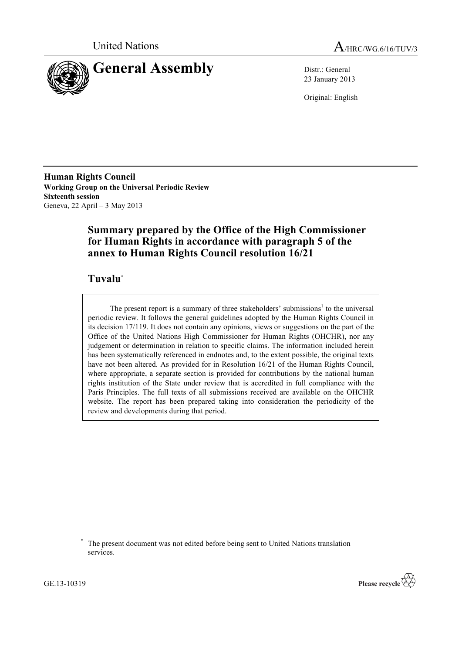



23 January 2013

Original: English

**Human Rights Council Working Group on the Universal Periodic Review Sixteenth session** Geneva, 22 April – 3 May 2013

# **Summary prepared by the Office of the High Commissioner for Human Rights in accordance with paragraph 5 of the annex to Human Rights Council resolution 16/21**

# **Tuvalu**\*

The present report is a summary of three stakeholders' submissions<sup>1</sup> to the universal periodic review. It follows the general guidelines adopted by the Human Rights Council in its decision 17/119. It does not contain any opinions, views or suggestions on the part of the Office of the United Nations High Commissioner for Human Rights (OHCHR), nor any judgement or determination in relation to specific claims. The information included herein has been systematically referenced in endnotes and, to the extent possible, the original texts have not been altered. As provided for in Resolution 16/21 of the Human Rights Council, where appropriate, a separate section is provided for contributions by the national human rights institution of the State under review that is accredited in full compliance with the Paris Principles. The full texts of all submissions received are available on the OHCHR website. The report has been prepared taking into consideration the periodicity of the review and developments during that period.

The present document was not edited before being sent to United Nations translation services.



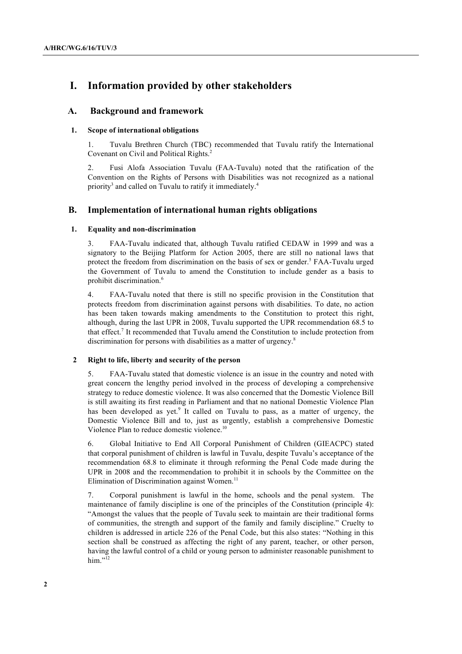# **I. Information provided by other stakeholders**

# **A. Background and framework**

### **1. Scope of international obligations**

1. Tuvalu Brethren Church (TBC) recommended that Tuvalu ratify the International Covenant on Civil and Political Rights.<sup>2</sup>

2. Fusi Alofa Association Tuvalu (FAA-Tuvalu) noted that the ratification of the Convention on the Rights of Persons with Disabilities was not recognized as a national priority<sup>3</sup> and called on Tuvalu to ratify it immediately.<sup>4</sup>

# **B. Implementation of international human rights obligations**

### **1. Equality and non-discrimination**

3. FAA-Tuvalu indicated that, although Tuvalu ratified CEDAW in 1999 and was a signatory to the Beijing Platform for Action 2005, there are still no national laws that protect the freedom from discrimination on the basis of sex or gender.<sup>5</sup> FAA-Tuvalu urged the Government of Tuvalu to amend the Constitution to include gender as a basis to prohibit discrimination.<sup>6</sup>

4. FAA-Tuvalu noted that there is still no specific provision in the Constitution that protects freedom from discrimination against persons with disabilities. To date, no action has been taken towards making amendments to the Constitution to protect this right, although, during the last UPR in 2008, Tuvalu supported the UPR recommendation 68.5 to that effect.<sup>7</sup> It recommended that Tuvalu amend the Constitution to include protection from discrimination for persons with disabilities as a matter of urgency.<sup>8</sup>

### **2 Right to life, liberty and security of the person**

5. FAA-Tuvalu stated that domestic violence is an issue in the country and noted with great concern the lengthy period involved in the process of developing a comprehensive strategy to reduce domestic violence. It was also concerned that the Domestic Violence Bill is still awaiting its first reading in Parliament and that no national Domestic Violence Plan has been developed as yet.<sup>9</sup> It called on Tuvalu to pass, as a matter of urgency, the Domestic Violence Bill and to, just as urgently, establish a comprehensive Domestic Violence Plan to reduce domestic violence.<sup>10</sup>

6. Global Initiative to End All Corporal Punishment of Children (GIEACPC) stated that corporal punishment of children is lawful in Tuvalu, despite Tuvalu's acceptance of the recommendation 68.8 to eliminate it through reforming the Penal Code made during the UPR in 2008 and the recommendation to prohibit it in schools by the Committee on the Elimination of Discrimination against Women.<sup>11</sup>

7. Corporal punishment is lawful in the home, schools and the penal system. The maintenance of family discipline is one of the principles of the Constitution (principle 4): "Amongst the values that the people of Tuvalu seek to maintain are their traditional forms of communities, the strength and support of the family and family discipline." Cruelty to children is addressed in article 226 of the Penal Code, but this also states: "Nothing in this section shall be construed as affecting the right of any parent, teacher, or other person, having the lawful control of a child or young person to administer reasonable punishment to him." $12$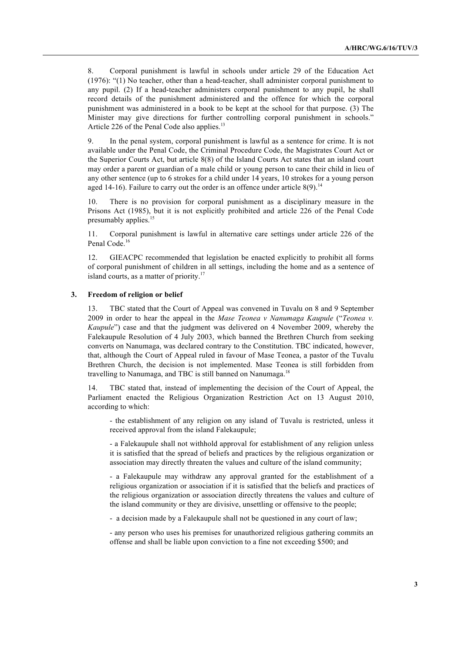8. Corporal punishment is lawful in schools under article 29 of the Education Act (1976): "(1) No teacher, other than a head-teacher, shall administer corporal punishment to any pupil. (2) If a head-teacher administers corporal punishment to any pupil, he shall record details of the punishment administered and the offence for which the corporal punishment was administered in a book to be kept at the school for that purpose. (3) The Minister may give directions for further controlling corporal punishment in schools." Article 226 of the Penal Code also applies. $^{13}$ 

9. In the penal system, corporal punishment is lawful as a sentence for crime. It is not available under the Penal Code, the Criminal Procedure Code, the Magistrates Court Act or the Superior Courts Act, but article 8(8) of the Island Courts Act states that an island court may order a parent or guardian of a male child or young person to cane their child in lieu of any other sentence (up to 6 strokes for a child under 14 years, 10 strokes for a young person aged 14-16). Failure to carry out the order is an offence under article  $8(9)$ .<sup>14</sup>

10. There is no provision for corporal punishment as a disciplinary measure in the Prisons Act (1985), but it is not explicitly prohibited and article 226 of the Penal Code presumably applies.<sup>15</sup>

11. Corporal punishment is lawful in alternative care settings under article 226 of the Penal Code.<sup>16</sup>

12. GIEACPC recommended that legislation be enacted explicitly to prohibit all forms of corporal punishment of children in all settings, including the home and as a sentence of island courts, as a matter of priority.<sup>17</sup>

#### **3. Freedom of religion or belief**

13. TBC stated that the Court of Appeal was convened in Tuvalu on 8 and 9 September 2009 in order to hear the appeal in the *Mase Teonea v Nanumaga Kaupule* ("*Teonea v. Kaupule*") case and that the judgment was delivered on 4 November 2009, whereby the Falekaupule Resolution of 4 July 2003, which banned the Brethren Church from seeking converts on Nanumaga, was declared contrary to the Constitution. TBC indicated, however, that, although the Court of Appeal ruled in favour of Mase Teonea, a pastor of the Tuvalu Brethren Church, the decision is not implemented. Mase Teonea is still forbidden from travelling to Nanumaga, and TBC is still banned on Nanumaga.<sup>18</sup>

14. TBC stated that, instead of implementing the decision of the Court of Appeal, the Parliament enacted the Religious Organization Restriction Act on 13 August 2010, according to which:

- the establishment of any religion on any island of Tuvalu is restricted, unless it received approval from the island Falekaupule;

- a Falekaupule shall not withhold approval for establishment of any religion unless it is satisfied that the spread of beliefs and practices by the religious organization or association may directly threaten the values and culture of the island community;

- a Falekaupule may withdraw any approval granted for the establishment of a religious organization or association if it is satisfied that the beliefs and practices of the religious organization or association directly threatens the values and culture of the island community or they are divisive, unsettling or offensive to the people;

- a decision made by a Falekaupule shall not be questioned in any court of law;

- any person who uses his premises for unauthorized religious gathering commits an offense and shall be liable upon conviction to a fine not exceeding \$500; and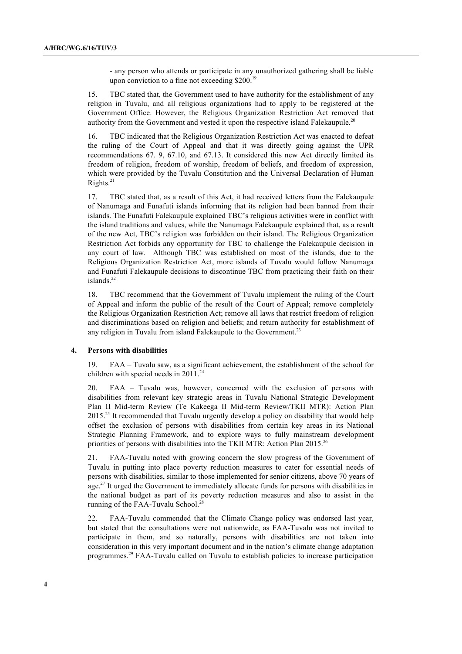- any person who attends or participate in any unauthorized gathering shall be liable upon conviction to a fine not exceeding \$200.<sup>19</sup>

15. TBC stated that, the Government used to have authority for the establishment of any religion in Tuvalu, and all religious organizations had to apply to be registered at the Government Office. However, the Religious Organization Restriction Act removed that authority from the Government and vested it upon the respective island Falekaupule.<sup>20</sup>

16. TBC indicated that the Religious Organization Restriction Act was enacted to defeat the ruling of the Court of Appeal and that it was directly going against the UPR recommendations 67. 9, 67.10, and 67.13. It considered this new Act directly limited its freedom of religion, freedom of worship, freedom of beliefs, and freedom of expression, which were provided by the Tuvalu Constitution and the Universal Declaration of Human Rights.21

17. TBC stated that, as a result of this Act, it had received letters from the Falekaupule of Nanumaga and Funafuti islands informing that its religion had been banned from their islands. The Funafuti Falekaupule explained TBC's religious activities were in conflict with the island traditions and values, while the Nanumaga Falekaupule explained that, as a result of the new Act, TBC's religion was forbidden on their island. The Religious Organization Restriction Act forbids any opportunity for TBC to challenge the Falekaupule decision in any court of law. Although TBC was established on most of the islands, due to the Religious Organization Restriction Act, more islands of Tuvalu would follow Nanumaga and Funafuti Falekaupule decisions to discontinue TBC from practicing their faith on their islands. $^{22}$ 

18. TBC recommend that the Government of Tuvalu implement the ruling of the Court of Appeal and inform the public of the result of the Court of Appeal; remove completely the Religious Organization Restriction Act; remove all laws that restrict freedom of religion and discriminations based on religion and beliefs; and return authority for establishment of any religion in Tuvalu from island Falekaupule to the Government.<sup>23</sup>

#### **4. Persons with disabilities**

19. FAA – Tuvalu saw, as a significant achievement, the establishment of the school for children with special needs in  $2011.^{24}$ 

20. FAA – Tuvalu was, however, concerned with the exclusion of persons with disabilities from relevant key strategic areas in Tuvalu National Strategic Development Plan II Mid-term Review (Te Kakeega II Mid-term Review/TKII MTR): Action Plan 2015.<sup>25</sup> It recommended that Tuvalu urgently develop a policy on disability that would help offset the exclusion of persons with disabilities from certain key areas in its National Strategic Planning Framework, and to explore ways to fully mainstream development priorities of persons with disabilities into the TKII MTR: Action Plan 2015.<sup>26</sup>

21. FAA-Tuvalu noted with growing concern the slow progress of the Government of Tuvalu in putting into place poverty reduction measures to cater for essential needs of persons with disabilities, similar to those implemented for senior citizens, above 70 years of age.<sup>27</sup> It urged the Government to immediately allocate funds for persons with disabilities in the national budget as part of its poverty reduction measures and also to assist in the running of the FAA-Tuvalu School.<sup>27</sup>

22. FAA-Tuvalu commended that the Climate Change policy was endorsed last year, but stated that the consultations were not nationwide, as FAA-Tuvalu was not invited to participate in them, and so naturally, persons with disabilities are not taken into consideration in this very important document and in the nation's climate change adaptation programmes.<sup>29</sup> FAA-Tuvalu called on Tuvalu to establish policies to increase participation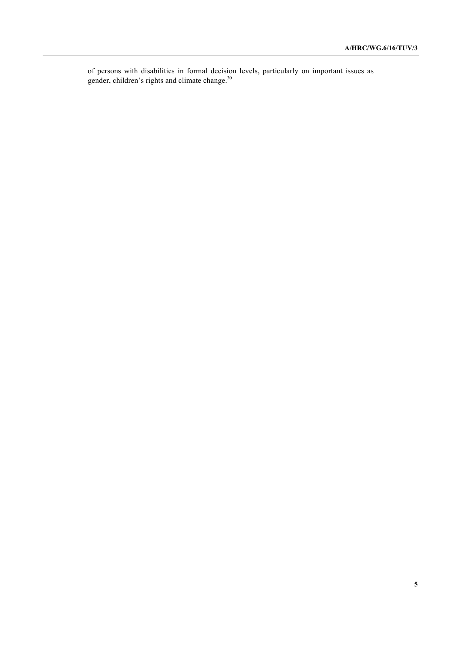of persons with disabilities in formal decision levels, particularly on important issues as gender, children's rights and climate change.<sup>30</sup>